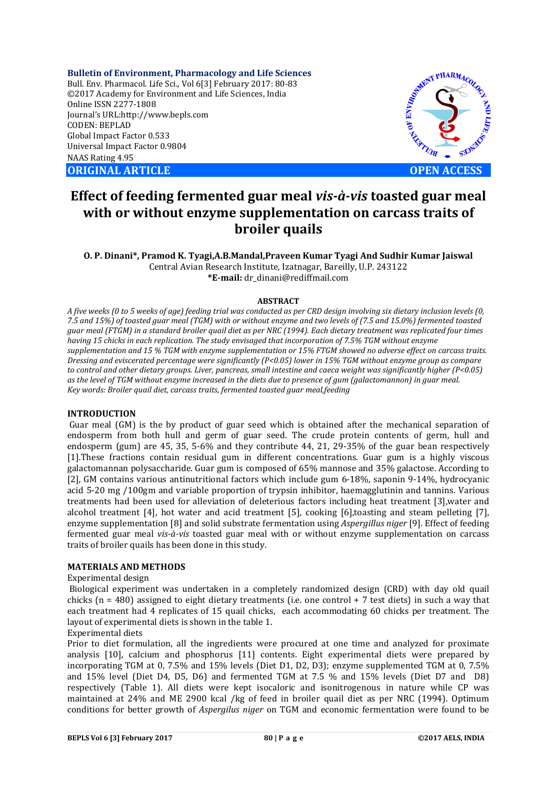**Bulletin of Environment, Pharmacology and Life Sciences** Bull. Env. Pharmacol. Life Sci., Vol 6[3] February 2017: 80-83 ©2017 Academy for Environment and Life Sciences, India Online ISSN 2277-1808 Journal's URL:http://www.bepls.com CODEN: BEPLAD Global Impact Factor 0.533 Universal Impact Factor 0.9804 NAAS Rating 4.95 **ORIGINAL ARTICLE OPEN ACCESS** 



# **Effect of feeding fermented guar meal** *vis-à-vis* **toasted guar meal with or without enzyme supplementation on carcass traits of broiler quails**

**O. P. Dinani\*, Pramod K. Tyagi,A.B.Mandal,Praveen Kumar Tyagi And Sudhir Kumar Jaiswal** Central Avian Research Institute, Izatnagar, Bareilly, U.P. 243122 **\*E-mail:** dr\_dinani@rediffmail.com

# **ABSTRACT**

*A five weeks (0 to 5 weeks of age) feeding trial was conducted as per CRD design involving six dietary inclusion levels (0, 7.5 and 15%) of toasted guar meal (TGM) with or without enzyme and two levels of (7.5 and 15.0%) fermented toasted guar meal (FTGM) in a standard broiler quail diet as per NRC (1994). Each dietary treatment was replicated four times having 15 chicks in each replication. The study envisaged that incorporation of 7.5% TGM without enzyme supplementation and 15 % TGM with enzyme supplementation or 15% FTGM showed no adverse effect on carcass traits. Dressing and eviscerated percentage were significantly (P<0.05) lower in 15% TGM without enzyme group as compare to control and other dietary groups. Liver, pancreas, small intestine and caeca weight was significantly higher (P<0.05) as the level of TGM without enzyme increased in the diets due to presence of gum (galactomannon) in guar meal. Key words: Broiler quail diet, carcass traits, fermented toasted guar meal,feeding*

# **INTRODUCTION**

Guar meal (GM) is the by product of guar seed which is obtained after the mechanical separation of endosperm from both hull and germ of guar seed. The crude protein contents of germ, hull and endosperm (gum) are 45, 35, 5-6% and they contribute 44, 21, 29-35% of the guar bean respectively [1].These fractions contain residual gum in different concentrations. Guar gum is a highly viscous galactomannan polysaccharide. Guar gum is composed of 65% mannose and 35% galactose. According to [2], GM contains various antinutritional factors which include gum 6-18%, saponin 9-14%, hydrocyanic acid 5-20 mg /100gm and variable proportion of trypsin inhibitor, haemagglutinin and tannins. Various treatments had been used for alleviation of deleterious factors including heat treatment [3],water and alcohol treatment [4], hot water and acid treatment [5], cooking [6],toasting and steam pelleting [7], enzyme supplementation [8] and solid substrate fermentation using *Aspergillus niger* [9]. Effect of feeding fermented guar meal *vis-à-vis* toasted guar meal with or without enzyme supplementation on carcass traits of broiler quails has been done in this study.

# **MATERIALS AND METHODS**

# Experimental design

Biological experiment was undertaken in a completely randomized design (CRD) with day old quail chicks (n = 480) assigned to eight dietary treatments (i.e. one control + 7 test diets) in such a way that each treatment had 4 replicates of 15 quail chicks, each accommodating 60 chicks per treatment. The layout of experimental diets is shown in the table 1.

# Experimental diets

Prior to diet formulation, all the ingredients were procured at one time and analyzed for proximate analysis [10], calcium and phosphorus [11] contents. Eight experimental diets were prepared by incorporating TGM at 0, 7.5% and 15% levels (Diet D1, D2, D3); enzyme supplemented TGM at 0, 7.5% and 15% level (Diet D4, D5, D6) and fermented TGM at 7.5 % and 15% levels (Diet D7 and D8) respectively (Table 1). All diets were kept isocaloric and isonitrogenous in nature while CP was maintained at 24% and ME 2900 kcal /kg of feed in broiler quail diet as per NRC (1994). Optimum conditions for better growth of *Aspergilus niger* on TGM and economic fermentation were found to be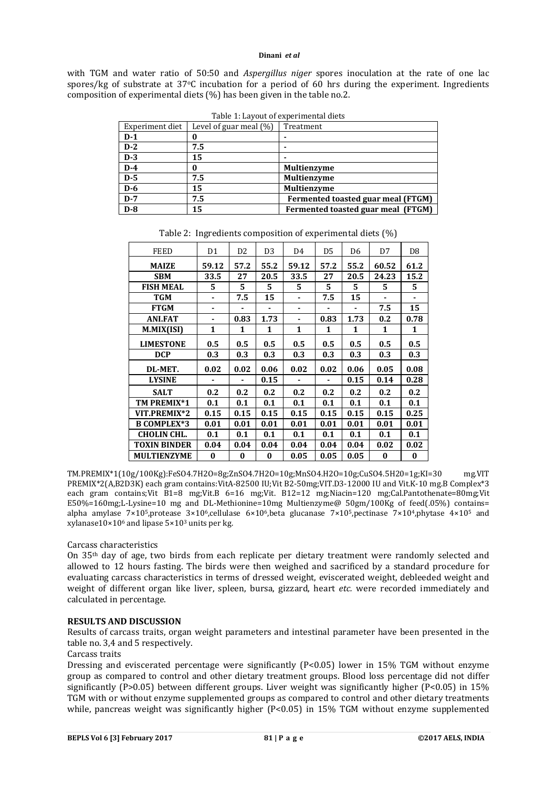#### **Dinani** *et al*

with TGM and water ratio of 50:50 and *Aspergillus niger* spores inoculation at the rate of one lac spores/kg of substrate at  $37^{\circ}$ C incubation for a period of 60 hrs during the experiment. Ingredients composition of experimental diets (%) has been given in the table no.2.

| Experiment diet  | Level of guar meal $(\%)$ | Treatment                          |
|------------------|---------------------------|------------------------------------|
| $D-1$            |                           |                                    |
| $D-2$            | 7.5                       |                                    |
| $\overline{D-3}$ | 15                        |                                    |
| $D-4$            |                           | <b>Multienzyme</b>                 |
| $D-5$            | 7.5                       | Multienzyme                        |
| $D-6$            | 15                        | <b>Multienzyme</b>                 |
| $D-7$            | 7.5                       | Fermented toasted guar meal (FTGM) |
| $D-8$            | 15                        | Fermented toasted guar meal (FTGM) |

Table 1: Layout of experimental diets

| <b>FEED</b>         | D1           | D <sub>2</sub> | D <sub>3</sub> | D4           | D5   | D <sub>6</sub> | D7           | D <sub>8</sub> |
|---------------------|--------------|----------------|----------------|--------------|------|----------------|--------------|----------------|
| <b>MAIZE</b>        | 59.12        | 57.2           | 55.2           | 59.12        | 57.2 | 55.2           | 60.52        | 61.2           |
| <b>SBM</b>          | 33.5         | 27             | 20.5           | 33.5         | 27   | 20.5           | 24.23        | 15.2           |
| <b>FISH MEAL</b>    | 5            | 5              | 5              | 5            | 5    | 5              | 5            | 5              |
| <b>TGM</b>          |              | 7.5            | 15             | ۰            | 7.5  | 15             |              |                |
| FTGM                |              |                |                | ۰            |      |                | 7.5          | 15             |
| <b>ANI.FAT</b>      |              | 0.83           | 1.73           | ٠            | 0.83 | 1.73           | 0.2          | 0.78           |
| M.MIX(ISI)          | $\mathbf{1}$ | 1              | 1              | $\mathbf{1}$ | 1    | 1              | $\mathbf{1}$ | 1              |
| <b>LIMESTONE</b>    | 0.5          | 0.5            | 0.5            | 0.5          | 0.5  | 0.5            | 0.5          | 0.5            |
| <b>DCP</b>          | 0.3          | 0.3            | 0.3            | 0.3          | 0.3  | 0.3            | 0.3          | 0.3            |
| DL-MET.             | 0.02         | 0.02           | 0.06           | 0.02         | 0.02 | 0.06           | 0.05         | 0.08           |
| <b>LYSINE</b>       |              |                | 0.15           |              |      | 0.15           | 0.14         | 0.28           |
| <b>SALT</b>         | 0.2          | 0.2            | 0.2            | 0.2          | 0.2  | 0.2            | 0.2          | 0.2            |
| TM PREMIX*1         | 0.1          | 0.1            | 0.1            | 0.1          | 0.1  | 0.1            | 0.1          | 0.1            |
| VIT.PREMIX*2        | 0.15         | 0.15           | 0.15           | 0.15         | 0.15 | 0.15           | 0.15         | 0.25           |
| <b>B COMPLEX*3</b>  | 0.01         | 0.01           | 0.01           | 0.01         | 0.01 | 0.01           | 0.01         | 0.01           |
| <b>CHOLIN CHL.</b>  | 0.1          | 0.1            | 0.1            | 0.1          | 0.1  | 0.1            | 0.1          | 0.1            |
| <b>TOXIN BINDER</b> | 0.04         | 0.04           | 0.04           | 0.04         | 0.04 | 0.04           | 0.02         | 0.02           |
| <b>MULTIENZYME</b>  | 0            | $\bf{0}$       | $\bf{0}$       | 0.05         | 0.05 | 0.05           | 0            | $\bf{0}$       |

Table 2: Ingredients composition of experimental diets (%)

TM.PREMIX\*1(10g/100Kg):FeSO4.7H2O=8g;ZnSO4.7H2O=10g;MnSO4.H2O=10g;CuSO4.5H20=1g;KI=30 mg.VIT PREMIX\*2(A,B2D3K) each gram contains:VitA-82500 IU;Vit B2-50mg;VIT.D3-12000 IU and Vit.K-10 mg.B Complex\*3 each gram contains;Vit B1=8 mg;Vit.B 6=16 mg;Vit. B12=12 mg;Niacin=120 mg;Cal.Pantothenate=80mg;Vit E50%=160mg;L-Lysine=10 mg and DL-Methionine=10mg Multienzyme@ 50gm/100Kg of feed(.05%) contains= alpha amylase 7×105,protease 3×106,cellulase 6×106,beta glucanase 7×105,pectinase 7×104,phytase 4×105 and xylanase10×106 and lipase 5×103 units per kg.

#### Carcass characteristics

On 35th day of age, two birds from each replicate per dietary treatment were randomly selected and allowed to 12 hours fasting. The birds were then weighed and sacrificed by a standard procedure for evaluating carcass characteristics in terms of dressed weight, eviscerated weight, debleeded weight and weight of different organ like liver, spleen, bursa, gizzard, heart *etc.* were recorded immediately and calculated in percentage.

# **RESULTS AND DISCUSSION**

Results of carcass traits, organ weight parameters and intestinal parameter have been presented in the table no. 3,4 and 5 respectively.

# Carcass traits

Dressing and eviscerated percentage were significantly (P<0.05) lower in 15% TGM without enzyme group as compared to control and other dietary treatment groups. Blood loss percentage did not differ significantly (P>0.05) between different groups. Liver weight was significantly higher (P<0.05) in 15% TGM with or without enzyme supplemented groups as compared to control and other dietary treatments while, pancreas weight was significantly higher (P<0.05) in 15% TGM without enzyme supplemented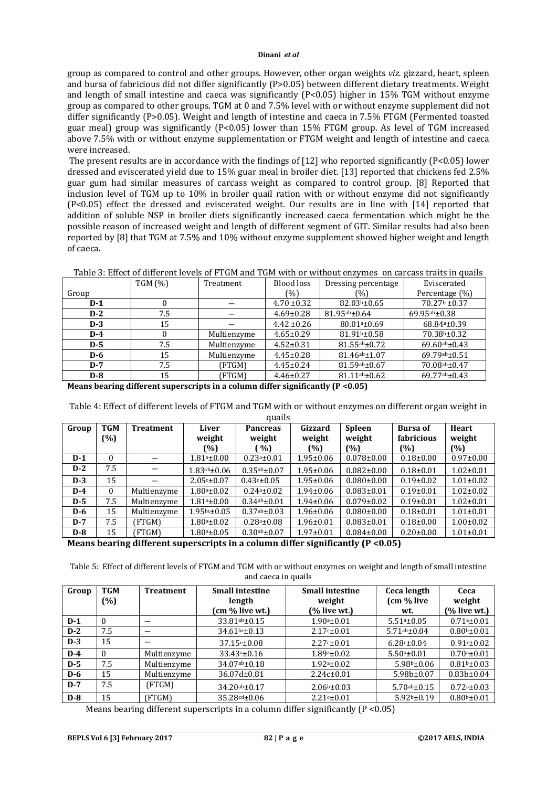#### **Dinani** *et al*

group as compared to control and other groups. However, other organ weights *viz.* gizzard, heart, spleen and bursa of fabricious did not differ significantly (P>0.05) between different dietary treatments. Weight and length of small intestine and caeca was significantly (P<0.05) higher in 15% TGM without enzyme group as compared to other groups. TGM at 0 and 7.5% level with or without enzyme supplement did not differ significantly (P>0.05). Weight and length of intestine and caeca in 7.5% FTGM (Fermented toasted guar meal) group was significantly (P<0.05) lower than 15% FTGM group. As level of TGM increased above 7.5% with or without enzyme supplementation or FTGM weight and length of intestine and caeca were increased.

The present results are in accordance with the findings of [12] who reported significantly (P<0.05) lower dressed and eviscerated yield due to 15% guar meal in broiler diet. [13] reported that chickens fed 2.5% guar gum had similar measures of carcass weight as compared to control group. [8] Reported that inclusion level of TGM up to 10% in broiler quail ration with or without enzyme did not significantly (P<0.05) effect the dressed and eviscerated weight. Our results are in line with [14] reported that addition of soluble NSP in broiler diets significantly increased caeca fermentation which might be the possible reason of increased weight and length of different segment of GIT. Similar results had also been reported by [8] that TGM at 7.5% and 10% without enzyme supplement showed higher weight and length of caeca.

| Table 3: Effect of different levels of FTGM and TGM with or without enzymes on carcass traits in quails |  |
|---------------------------------------------------------------------------------------------------------|--|
|---------------------------------------------------------------------------------------------------------|--|

|       | <b>TGM</b> (%) | <b>Blood loss</b><br>Treatment |                 | Dressing percentage      | Eviscerated              |  |
|-------|----------------|--------------------------------|-----------------|--------------------------|--------------------------|--|
| Group |                |                                | (%)             | (%)                      | Percentage (%)           |  |
| $D-1$ |                |                                | $4.70 \pm 0.32$ | 82.03b±0.65              | $70.27b \pm 0.37$        |  |
| $D-2$ | 7.5            |                                | $4.69 \pm 0.28$ | 81.95ab±0.64             | $69.95^{ab} \pm 0.38$    |  |
| $D-3$ | 15             |                                | $4.42 \pm 0.26$ | $80.01a \pm 0.69$        | 68.84 <sup>a</sup> ±0.39 |  |
| $D-4$ |                | Multienzyme                    | $4.65 \pm 0.29$ | 81.91 <sup>b</sup> ±0.58 | 70.38 <sup>b</sup> ±0.32 |  |
| $D-5$ | 7.5            | Multienzyme                    | $4.52 \pm 0.31$ | 81.55ab±0.72             | $69.60^{ab} \pm 0.43$    |  |
| $D-6$ | 15             | Multienzyme                    | $4.45 \pm 0.28$ | 81.46ab±1.07             | $69.79ab \pm 0.51$       |  |
| $D-7$ | 7.5            | (FTGM)                         | $4.45 \pm 0.24$ | 81.59ab±0.67             | 70.08ab±0.47             |  |
| $D-8$ | 15             | (FTGM)                         | $4.46 \pm 0.27$ | 81.11ab±0.62             | 69.77ab±0.43             |  |

**Means bearing different superscripts in a column differ significantly (P <0.05)**

Table 4: Effect of different levels of FTGM and TGM with or without enzymes on different organ weight in quails

| Group | <b>TGM</b><br>(%) | <b>Treatment</b> | Liver<br>weight           | <b>Pancreas</b><br>weight | Gizzard<br>weight | <b>Spleen</b><br>weight | <b>Bursa of</b><br>fabricious | <b>Heart</b><br>weight |
|-------|-------------------|------------------|---------------------------|---------------------------|-------------------|-------------------------|-------------------------------|------------------------|
|       |                   |                  | (%)                       | $\%$                      | (%)               | (%)                     | [%]                           | (%)                    |
| $D-1$ | $\Omega$          |                  | $1.81$ <sup>a</sup> ±0.00 | $0.23a_{\pm}0.01$         | $1.95 \pm 0.06$   | $0.078 \pm 0.00$        | $0.18 \pm 0.00$               | $0.97 \pm 0.00$        |
| $D-2$ | 7.5               |                  | $1.83^{ab} \pm 0.06$      | $0.35^{ab} \pm 0.07$      | $1.95 \pm 0.06$   | $0.082 \pm 0.00$        | $0.18 \pm 0.01$               | $1.02 \pm 0.01$        |
| $D-3$ | 15                |                  | $2.05c \pm 0.07$          | $0.43c \pm 0.05$          | $1.95 \pm 0.06$   | $0.080 \pm 0.00$        | $0.19 \pm 0.02$               | $1.01 \pm 0.02$        |
| $D-4$ | $\theta$          | Multienzyme      | $1.80a_{\pm}0.02$         | $0.24a_{\pm}0.02$         | $1.94 \pm 0.06$   | $0.083 \pm 0.01$        | $0.19 \pm 0.01$               | $1.02 \pm 0.02$        |
| $D-5$ | 7.5               | Multienzyme      | $1.81a_{\pm}0.00$         | $0.34$ ab $\pm 0.01$      | $1.94 \pm 0.06$   | $0.079 \pm 0.02$        | $0.19 \pm 0.01$               | $1.02 \pm 0.01$        |
| $D-6$ | 15                | Multienzyme      | $1.95bc \pm 0.05$         | $0.37$ ab $\pm 0.03$      | $1.96 \pm 0.06$   | $0.080 \pm 0.00$        | $0.18 \pm 0.01$               | $1.01 \pm 0.01$        |
| $D-7$ | 7.5               | <b>FTGM</b>      | $1.80a_{\pm}0.02$         | $0.28a_{\pm}0.08$         | $1.96 \pm 0.01$   | $0.083 \pm 0.01$        | $0.18 \pm 0.00$               | $1.00 \pm 0.02$        |
| $D-8$ | 15                | (FTGM)           | $1.80a \pm 0.05$          | $0.30a$ b $\pm 0.07$      | $1.97 \pm 0.01$   | $0.084 \pm 0.00$        | $0.20 \pm 0.00$               | $1.01 \pm 0.01$        |

**Means bearing different superscripts in a column differ significantly (P <0.05)**

Table 5: Effect of different levels of FTGM and TGM with or without enzymes on weight and length of small intestine and caeca in quails

| Group | <b>TGM</b> | <b>Treatment</b> | <b>Small intestine</b>    | <b>Small intestine</b>   | Ceca length          | Ceca                     |
|-------|------------|------------------|---------------------------|--------------------------|----------------------|--------------------------|
|       | $(\%)$     |                  | length<br>(cm % live wt.) | weight<br>$(%$ live wt.) | (cm % live           | weight<br>$(%$ live wt.) |
|       |            |                  |                           |                          | wt.                  |                          |
| $D-1$ | $\theta$   |                  | 33.81ab±0.15              | $1.90a_{\pm}0.01$        | $5.51a_{\pm}0.05$    | $0.71a \pm 0.01$         |
| $D-2$ | 7.5        |                  | 34.61bc±0.13              | $2.17c \pm 0.01$         | $5.71ab \pm 0.04$    | $0.80b \pm 0.01$         |
| $D-3$ | 15         |                  | $37.15e \pm 0.08$         | $2.27c \pm 0.01$         | $6.28c \pm 0.04$     | $0.91 \times 0.02$       |
| $D-4$ | $\theta$   | Multienzyme      | $33.43a \pm 0.16$         | $1.89a \pm 0.02$         | $5.50a \pm 0.01$     | $0.70a \pm 0.01$         |
| $D-5$ | 7.5        | Multienzyme      | 34.07ab±0.18              | $1.92a \pm 0.02$         | $5.98b \pm 0.06$     | $0.81b \pm 0.03$         |
| $D-6$ | 15         | Multienzyme      | 36.07d±0.81               | $2.24c \pm 0.01$         | $5.98b \pm 0.07$     | $0.83b \pm 0.04$         |
| $D-7$ | 7.5        | (FTGM)           | 34.20ab±0.17              | $2.06b \pm 0.03$         | $5.70$ ab $\pm 0.15$ | $0.72a \pm 0.03$         |
| $D-8$ | 15         | (FTGM)           | $35.28^{cd} \pm 0.06$     | $2.21c \pm 0.01$         | $5.92b \pm 0.19$     | $0.80b \pm 0.01$         |

Means bearing different superscripts in a column differ significantly (P <0.05)